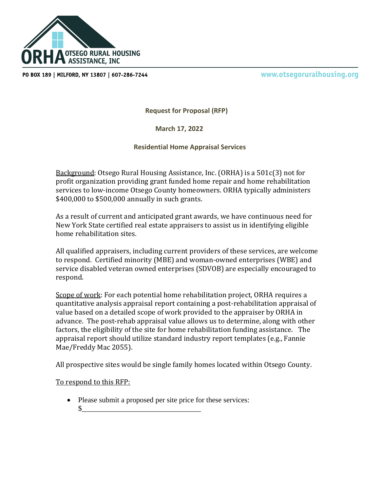

PO BOX 189 | MILFORD, NY 13807 | 607-286-7244

www.otsegoruralhousing.org

**Request for Proposal (RFP)**

 **March 17, 2022**

**Residential Home Appraisal Services**

Background: Otsego Rural Housing Assistance, Inc. (ORHA) is a 501c(3) not for profit organization providing grant funded home repair and home rehabilitation services to low-income Otsego County homeowners. ORHA typically administers \$400,000 to \$500,000 annually in such grants.

As a result of current and anticipated grant awards, we have continuous need for New York State certified real estate appraisers to assist us in identifying eligible home rehabilitation sites.

All qualified appraisers, including current providers of these services, are welcome to respond. Certified minority (MBE) and woman-owned enterprises (WBE) and service disabled veteran owned enterprises (SDVOB) are especially encouraged to respond.

Scope of work: For each potential home rehabilitation project, ORHA requires a quantitative analysis appraisal report containing a post-rehabilitation appraisal of value based on a detailed scope of work provided to the appraiser by ORHA in advance. The post-rehab appraisal value allows us to determine, along with other factors, the eligibility of the site for home rehabilitation funding assistance. The appraisal report should utilize standard industry report templates (e.g., Fannie Mae/Freddy Mac 2055).

All prospective sites would be single family homes located within Otsego County.

To respond to this RFP:

- Please submit a proposed per site price for these services:
	- $\frac{1}{2}$